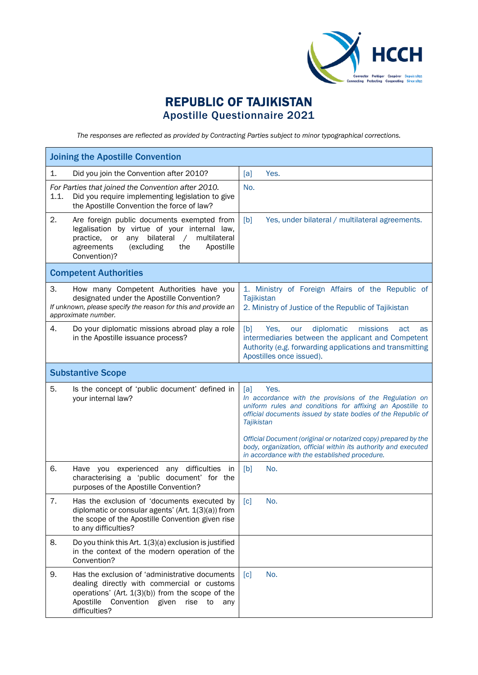

## REPUBLIC OF TAJIKISTAN Apostille Questionnaire 2021

*The responses are reflected as provided by Contracting Parties subject to minor typographical corrections.*

| <b>Joining the Apostille Convention</b>                                                                                                                                                                                           |                                                                                                                                                                                                                                                                                           |
|-----------------------------------------------------------------------------------------------------------------------------------------------------------------------------------------------------------------------------------|-------------------------------------------------------------------------------------------------------------------------------------------------------------------------------------------------------------------------------------------------------------------------------------------|
| 1.<br>Did you join the Convention after 2010?                                                                                                                                                                                     | [a]<br>Yes.                                                                                                                                                                                                                                                                               |
| For Parties that joined the Convention after 2010.<br>1.1.<br>Did you require implementing legislation to give<br>the Apostille Convention the force of law?                                                                      | No.                                                                                                                                                                                                                                                                                       |
| 2.<br>Are foreign public documents exempted from<br>legalisation by virtue of your internal law,<br>any bilateral<br>multilateral<br>practice, or<br>$\sqrt{2}$<br>(excluding<br>the<br>Apostille<br>agreements<br>Convention)?   | Yes, under bilateral / multilateral agreements.<br>[b]                                                                                                                                                                                                                                    |
| <b>Competent Authorities</b>                                                                                                                                                                                                      |                                                                                                                                                                                                                                                                                           |
| 3.<br>How many Competent Authorities have you<br>designated under the Apostille Convention?<br>If unknown, please specify the reason for this and provide an<br>approximate number.                                               | 1. Ministry of Foreign Affairs of the Republic of<br>Tajikistan<br>2. Ministry of Justice of the Republic of Tajikistan                                                                                                                                                                   |
| 4.<br>Do your diplomatic missions abroad play a role<br>in the Apostille issuance process?                                                                                                                                        | diplomatic<br>[b]<br>missions<br>Yes.<br>our<br>act<br>as<br>intermediaries between the applicant and Competent<br>Authority (e.g. forwarding applications and transmitting<br>Apostilles once issued).                                                                                   |
| <b>Substantive Scope</b>                                                                                                                                                                                                          |                                                                                                                                                                                                                                                                                           |
| 5.<br>Is the concept of 'public document' defined in<br>your internal law?                                                                                                                                                        | [a]<br>Yes.<br>In accordance with the provisions of the Regulation on<br>uniform rules and conditions for affixing an Apostille to<br>official documents issued by state bodies of the Republic of<br><b>Tajikistan</b><br>Official Document (original or notarized copy) prepared by the |
|                                                                                                                                                                                                                                   | body, organization, official within its authority and executed<br>in accordance with the established procedure.                                                                                                                                                                           |
| 6.<br>any difficulties in<br>Have you experienced<br>characterising a 'public document' for the<br>purposes of the Apostille Convention?                                                                                          | [b]<br>No.                                                                                                                                                                                                                                                                                |
| 7.<br>Has the exclusion of 'documents executed by<br>diplomatic or consular agents' (Art. 1(3)(a)) from<br>the scope of the Apostille Convention given rise<br>to any difficulties?                                               | $\lceil c \rceil$<br>No.                                                                                                                                                                                                                                                                  |
| 8.<br>Do you think this Art. 1(3)(a) exclusion is justified<br>in the context of the modern operation of the<br>Convention?                                                                                                       |                                                                                                                                                                                                                                                                                           |
| 9.<br>Has the exclusion of 'administrative documents<br>dealing directly with commercial or customs<br>operations' (Art. $1(3)(b)$ ) from the scope of the<br>Convention given<br>Apostille<br>rise<br>to<br>any<br>difficulties? | No.<br>$\lceil c \rceil$                                                                                                                                                                                                                                                                  |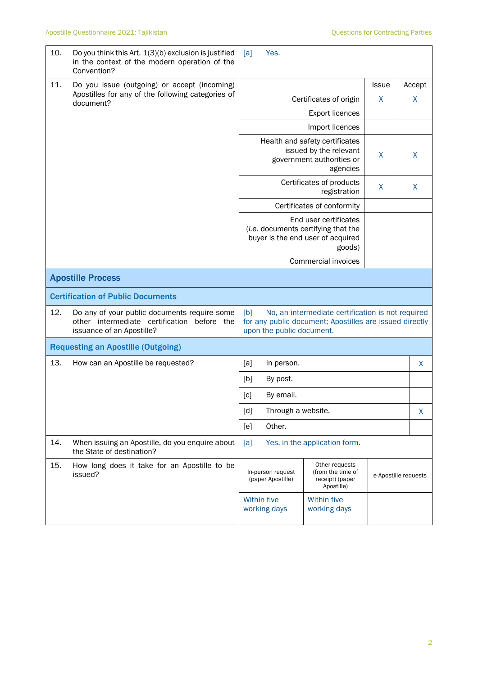| 10. | Do you think this Art. 1(3)(b) exclusion is justified<br>in the context of the modern operation of the<br>Convention?    | Yes.<br>[a]                                                                                                                                      |                                          |                      |        |
|-----|--------------------------------------------------------------------------------------------------------------------------|--------------------------------------------------------------------------------------------------------------------------------------------------|------------------------------------------|----------------------|--------|
| 11. | Do you issue (outgoing) or accept (incoming)<br>Apostilles for any of the following categories of<br>document?           |                                                                                                                                                  |                                          | <b>Issue</b>         | Accept |
|     |                                                                                                                          | Certificates of origin                                                                                                                           | X                                        | X                    |        |
|     |                                                                                                                          | <b>Export licences</b>                                                                                                                           |                                          |                      |        |
|     |                                                                                                                          | Import licences                                                                                                                                  |                                          |                      |        |
|     |                                                                                                                          | Health and safety certificates<br>issued by the relevant<br>government authorities or                                                            | X                                        | X                    |        |
|     |                                                                                                                          |                                                                                                                                                  | Certificates of products<br>registration |                      |        |
|     |                                                                                                                          |                                                                                                                                                  | Certificates of conformity               |                      |        |
|     |                                                                                                                          | End user certificates<br>(i.e. documents certifying that the<br>buyer is the end user of acquired<br>goods)                                      |                                          |                      |        |
|     |                                                                                                                          | Commercial invoices                                                                                                                              |                                          |                      |        |
|     | <b>Apostille Process</b>                                                                                                 |                                                                                                                                                  |                                          |                      |        |
|     | <b>Certification of Public Documents</b>                                                                                 |                                                                                                                                                  |                                          |                      |        |
| 12. | Do any of your public documents require some<br>other intermediate certification before the<br>issuance of an Apostille? | No, an intermediate certification is not required<br>[b]<br>for any public document; Apostilles are issued directly<br>upon the public document. |                                          |                      |        |
|     | <b>Requesting an Apostille (Outgoing)</b>                                                                                |                                                                                                                                                  |                                          |                      |        |
| 13. | How can an Apostille be requested?                                                                                       | [a]<br>In person.                                                                                                                                |                                          |                      | X.     |
|     |                                                                                                                          | [b]<br>By post.                                                                                                                                  |                                          |                      |        |
|     |                                                                                                                          | [c]<br>By email.                                                                                                                                 |                                          |                      |        |
|     |                                                                                                                          | [d]<br>Through a website.                                                                                                                        |                                          |                      | X      |
|     |                                                                                                                          | [e]<br>Other.                                                                                                                                    |                                          |                      |        |
| 14. | When issuing an Apostille, do you enquire about<br>the State of destination?                                             | [a]                                                                                                                                              | Yes, in the application form.            |                      |        |
| 15. | How long does it take for an Apostille to be<br>issued?                                                                  | Other requests<br>(from the time of<br>In-person request<br>(paper Apostille)<br>receipt) (paper<br>Apostille)                                   |                                          | e-Apostille requests |        |
|     |                                                                                                                          | <b>Within five</b><br>working days                                                                                                               | <b>Within five</b><br>working days       |                      |        |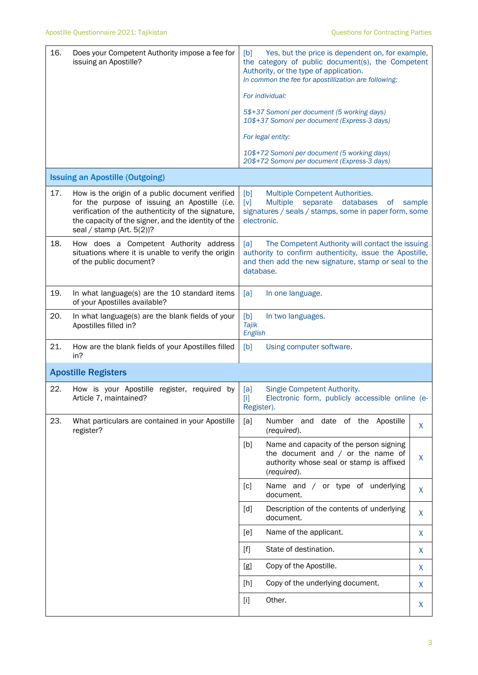| 16. | Does your Competent Authority impose a fee for<br>issuing an Apostille?                                                                                                                                                                       | Yes, but the price is dependent on, for example,<br>[b]<br>the category of public document(s), the Competent<br>Authority, or the type of application.<br>In common the fee for apostillization are following:<br>For individual:<br>5\$+37 Somoni per document (5 working days)                                                                                                                        |   |  |  |
|-----|-----------------------------------------------------------------------------------------------------------------------------------------------------------------------------------------------------------------------------------------------|---------------------------------------------------------------------------------------------------------------------------------------------------------------------------------------------------------------------------------------------------------------------------------------------------------------------------------------------------------------------------------------------------------|---|--|--|
|     |                                                                                                                                                                                                                                               | 10\$+37 Somoni per document (Express-3 days)                                                                                                                                                                                                                                                                                                                                                            |   |  |  |
|     |                                                                                                                                                                                                                                               | For legal entity:                                                                                                                                                                                                                                                                                                                                                                                       |   |  |  |
|     |                                                                                                                                                                                                                                               | 10\$+72 Somoni per document (5 working days)<br>20\$+72 Somoni per document (Express-3 days)                                                                                                                                                                                                                                                                                                            |   |  |  |
|     | <b>Issuing an Apostille (Outgoing)</b>                                                                                                                                                                                                        |                                                                                                                                                                                                                                                                                                                                                                                                         |   |  |  |
| 17. | How is the origin of a public document verified<br>for the purpose of issuing an Apostille (i.e.<br>verification of the authenticity of the signature,<br>the capacity of the signer, and the identity of the<br>seal / stamp (Art. $5(2)$ )? | [b]<br>Multiple Competent Authorities.<br>[v]<br>Multiple separate<br>databases<br>o <sub>f</sub><br>sample<br>signatures / seals / stamps, some in paper form, some<br>electronic.                                                                                                                                                                                                                     |   |  |  |
| 18. | How does a Competent Authority address<br>situations where it is unable to verify the origin<br>of the public document?                                                                                                                       | The Competent Authority will contact the issuing<br>[a]<br>authority to confirm authenticity, issue the Apostille,<br>and then add the new signature, stamp or seal to the<br>database.                                                                                                                                                                                                                 |   |  |  |
| 19. | In what language(s) are the 10 standard items<br>of your Apostilles available?                                                                                                                                                                | [a]<br>In one language.                                                                                                                                                                                                                                                                                                                                                                                 |   |  |  |
| 20. | In what language(s) are the blank fields of your<br>Apostilles filled in?                                                                                                                                                                     | [b]<br>In two languages.<br>Tajik<br>English                                                                                                                                                                                                                                                                                                                                                            |   |  |  |
| 21. | How are the blank fields of your Apostilles filled<br>in?                                                                                                                                                                                     | [b]<br>Using computer software.                                                                                                                                                                                                                                                                                                                                                                         |   |  |  |
|     | <b>Apostille Registers</b>                                                                                                                                                                                                                    |                                                                                                                                                                                                                                                                                                                                                                                                         |   |  |  |
| 22. | How is your Apostille register, required<br>by<br>Article 7, maintained?                                                                                                                                                                      | Single Competent Authority.<br>[a]<br>Electronic form, publicly accessible online (e-<br>$[1] % \centering \includegraphics[width=0.47\textwidth]{images/TrDiM-Architecture.png} % \caption{The first two different values of $S_1$-error of the estimators in the right, and the second two different values of $S_2$-error of the right, respectively.} % \label{TrDiM-Architecture} %$<br>Register). |   |  |  |
| 23. | What particulars are contained in your Apostille<br>register?                                                                                                                                                                                 | [a]<br>Number and<br>date of the Apostille<br>(required).                                                                                                                                                                                                                                                                                                                                               | X |  |  |
|     |                                                                                                                                                                                                                                               | Name and capacity of the person signing<br>[b]<br>the document and $/$ or the name of<br>authority whose seal or stamp is affixed<br>(required).                                                                                                                                                                                                                                                        | X |  |  |
|     |                                                                                                                                                                                                                                               | Name and / or type of underlying<br>[c]<br>document.                                                                                                                                                                                                                                                                                                                                                    | X |  |  |
|     |                                                                                                                                                                                                                                               | Description of the contents of underlying<br>$[d]$<br>document.                                                                                                                                                                                                                                                                                                                                         | X |  |  |
|     |                                                                                                                                                                                                                                               | Name of the applicant.<br>[e]                                                                                                                                                                                                                                                                                                                                                                           | X |  |  |
|     |                                                                                                                                                                                                                                               | State of destination.<br>$[f]$                                                                                                                                                                                                                                                                                                                                                                          | X |  |  |
|     |                                                                                                                                                                                                                                               | Copy of the Apostille.<br>[g]                                                                                                                                                                                                                                                                                                                                                                           | X |  |  |
|     |                                                                                                                                                                                                                                               | Copy of the underlying document.<br>[h]                                                                                                                                                                                                                                                                                                                                                                 | X |  |  |
|     |                                                                                                                                                                                                                                               | Other.<br>$[1]$                                                                                                                                                                                                                                                                                                                                                                                         | X |  |  |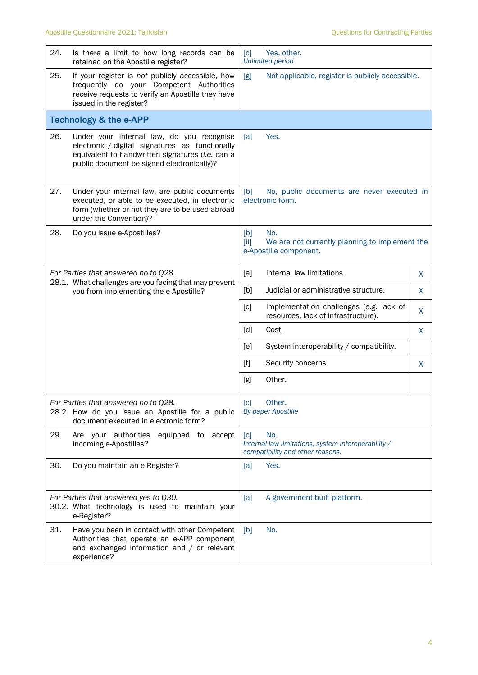| 24.                                                                                                                               | Is there a limit to how long records can be<br>retained on the Apostille register?                                                                                                             | Yes, other.<br>[c]<br><b>Unlimited period</b>                                                         |   |  |
|-----------------------------------------------------------------------------------------------------------------------------------|------------------------------------------------------------------------------------------------------------------------------------------------------------------------------------------------|-------------------------------------------------------------------------------------------------------|---|--|
| 25.                                                                                                                               | If your register is not publicly accessible, how<br>frequently do your Competent Authorities<br>receive requests to verify an Apostille they have<br>issued in the register?                   | [g]<br>Not applicable, register is publicly accessible.                                               |   |  |
|                                                                                                                                   | <b>Technology &amp; the e-APP</b>                                                                                                                                                              |                                                                                                       |   |  |
| 26.                                                                                                                               | Under your internal law, do you recognise<br>electronic / digital signatures as functionally<br>equivalent to handwritten signatures (i.e. can a<br>public document be signed electronically)? | Yes.<br>[a]                                                                                           |   |  |
| 27.                                                                                                                               | Under your internal law, are public documents<br>executed, or able to be executed, in electronic<br>form (whether or not they are to be used abroad<br>under the Convention)?                  | [b]<br>No, public documents are never executed in<br>electronic form.                                 |   |  |
| 28.                                                                                                                               | Do you issue e-Apostilles?                                                                                                                                                                     | [b]<br>No.<br>[iii]<br>We are not currently planning to implement the<br>e-Apostille component.       |   |  |
| For Parties that answered no to Q28.                                                                                              |                                                                                                                                                                                                | Internal law limitations.<br>[a]                                                                      | X |  |
|                                                                                                                                   | 28.1. What challenges are you facing that may prevent<br>you from implementing the e-Apostille?                                                                                                | [b]<br>Judicial or administrative structure.                                                          | X |  |
|                                                                                                                                   |                                                                                                                                                                                                | [c]<br>Implementation challenges (e.g. lack of<br>resources, lack of infrastructure).                 | X |  |
|                                                                                                                                   |                                                                                                                                                                                                | [d]<br>Cost.                                                                                          | X |  |
|                                                                                                                                   |                                                                                                                                                                                                | System interoperability / compatibility.<br>[e]                                                       |   |  |
|                                                                                                                                   |                                                                                                                                                                                                | $[f]$<br>Security concerns.                                                                           | X |  |
|                                                                                                                                   |                                                                                                                                                                                                | Other.<br>[g]                                                                                         |   |  |
| For Parties that answered no to Q28.<br>28.2. How do you issue an Apostille for a public<br>document executed in electronic form? |                                                                                                                                                                                                | [c]<br>Other.<br><b>By paper Apostille</b>                                                            |   |  |
| 29.                                                                                                                               | Are your authorities<br>equipped to accept<br>incoming e-Apostilles?                                                                                                                           | [c]<br>No.<br>Internal law limitations, system interoperability /<br>compatibility and other reasons. |   |  |
| 30.                                                                                                                               | Do you maintain an e-Register?                                                                                                                                                                 | Yes.<br>[a]                                                                                           |   |  |
|                                                                                                                                   | For Parties that answered yes to Q30.<br>30.2. What technology is used to maintain your<br>e-Register?                                                                                         | A government-built platform.<br>[a]                                                                   |   |  |
| 31.                                                                                                                               | Have you been in contact with other Competent<br>Authorities that operate an e-APP component<br>and exchanged information and / or relevant<br>experience?                                     | [b]<br>No.                                                                                            |   |  |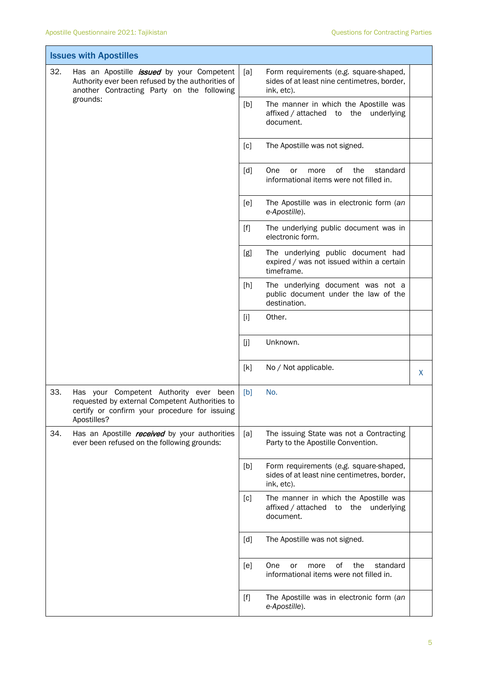| <b>Issues with Apostilles</b> |                                                                                                                                                                 |                                                                                                                                                                                                  |                                                                                                     |    |
|-------------------------------|-----------------------------------------------------------------------------------------------------------------------------------------------------------------|--------------------------------------------------------------------------------------------------------------------------------------------------------------------------------------------------|-----------------------------------------------------------------------------------------------------|----|
| 32.                           | Has an Apostille <i>issued</i> by your Competent<br>Authority ever been refused by the authorities of<br>another Contracting Party on the following<br>grounds: | [a]                                                                                                                                                                                              | Form requirements (e.g. square-shaped,<br>sides of at least nine centimetres, border,<br>ink, etc). |    |
|                               |                                                                                                                                                                 | [b]                                                                                                                                                                                              | The manner in which the Apostille was<br>affixed / attached to the underlying<br>document.          |    |
|                               |                                                                                                                                                                 | [c]                                                                                                                                                                                              | The Apostille was not signed.                                                                       |    |
|                               |                                                                                                                                                                 | [d]                                                                                                                                                                                              | οf<br>the<br>standard<br>One<br>or<br>more<br>informational items were not filled in.               |    |
|                               |                                                                                                                                                                 | [e]                                                                                                                                                                                              | The Apostille was in electronic form (an<br>e-Apostille).                                           |    |
|                               |                                                                                                                                                                 | $[f]$                                                                                                                                                                                            | The underlying public document was in<br>electronic form.                                           |    |
|                               |                                                                                                                                                                 | [g]                                                                                                                                                                                              | The underlying public document had<br>expired / was not issued within a certain<br>timeframe.       |    |
|                               |                                                                                                                                                                 | [h]                                                                                                                                                                                              | The underlying document was not a<br>public document under the law of the<br>destination.           |    |
|                               |                                                                                                                                                                 | $[1]$                                                                                                                                                                                            | Other.                                                                                              |    |
|                               |                                                                                                                                                                 | [j]                                                                                                                                                                                              | Unknown.                                                                                            |    |
|                               |                                                                                                                                                                 | [k]                                                                                                                                                                                              | No / Not applicable.                                                                                | X. |
| 33.                           | Has your Competent Authority ever<br>been<br>requested by external Competent Authorities to<br>certify or confirm your procedure for issuing<br>Apostilles?     | [b]                                                                                                                                                                                              | No.                                                                                                 |    |
| 34.                           | Has an Apostille <i>received</i> by your authorities<br>ever been refused on the following grounds:                                                             | [a]                                                                                                                                                                                              | The issuing State was not a Contracting<br>Party to the Apostille Convention.                       |    |
|                               |                                                                                                                                                                 | [b]                                                                                                                                                                                              | Form requirements (e.g. square-shaped,<br>sides of at least nine centimetres, border,<br>ink, etc). |    |
|                               |                                                                                                                                                                 | [c]                                                                                                                                                                                              | The manner in which the Apostille was<br>affixed / attached to the underlying<br>document.          |    |
|                               |                                                                                                                                                                 | [d]                                                                                                                                                                                              | The Apostille was not signed.                                                                       |    |
|                               |                                                                                                                                                                 | [e]                                                                                                                                                                                              | of<br>the<br>One<br>standard<br>or<br>more<br>informational items were not filled in.               |    |
|                               |                                                                                                                                                                 | $[f] % \begin{center} % \includegraphics[width=\linewidth]{imagesSupplemental_3.png} % \end{center} % \caption { % Our method can be used for the use of the image. % } % \label{fig:example} %$ | The Apostille was in electronic form (an<br>e-Apostille).                                           |    |